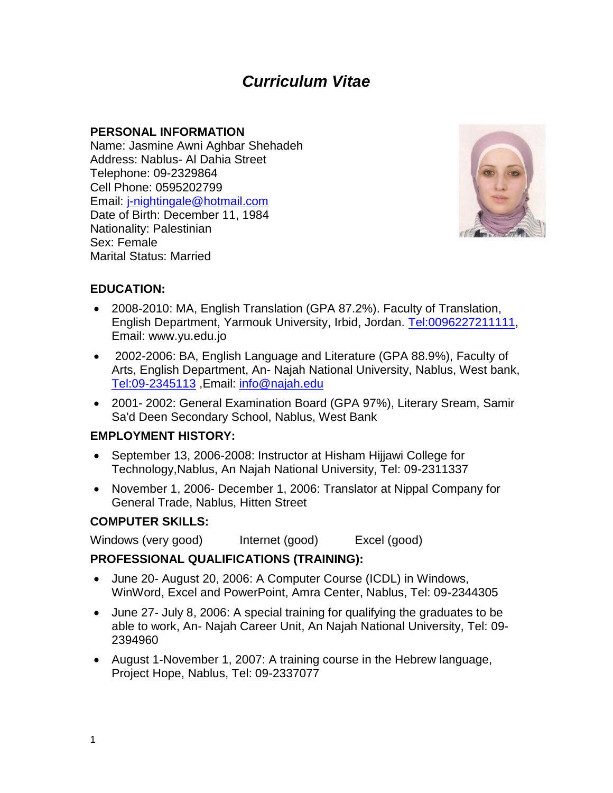# *Curriculum Vitae*

## **PERSONAL INFORMATION**

Name: Jasmine Awni Aghbar Shehadeh Address: Nablus- Al Dahia Street Telephone: 09-2329864 Cell Phone: 0595202799 Email: [j-nightingale@hotmail.com](mailto:j-nightingale@hotmail.com/) Date of Birth: December 11, 1984 Nationality: Palestinian Sex: Female Marital Status: Married



## **EDUCATION:**

- 2008-2010: MA, English Translation (GPA 87.2%). Faculty of Translation, English Department, Yarmouk University, Irbid, Jordan. [Tel:0096227211111,](Tel:0096227211111) Email: www.yu.edu.jo
- 2002-2006: BA, English Language and Literature (GPA 88.9%), Faculty of Arts, English Department, An- Najah National University, Nablus, West bank, <Tel:09-2345113> ,Email: [info@najah.edu](mailto:info@najah.edu)
- 2001- 2002: General Examination Board (GPA 97%), Literary Sream, Samir Sa'd Deen Secondary School, Nablus, West Bank

## **EMPLOYMENT HISTORY:**

- September 13, 2006-2008: Instructor at Hisham Hijjawi College for Technology,Nablus, An Najah National University, Tel: 09-2311337
- November 1, 2006- December 1, 2006: Translator at Nippal Company for General Trade, Nablus, Hitten Street

## **COMPUTER SKILLS:**

Windows (very good) lnternet (good) Excel (good)

## **PROFESSIONAL QUALIFICATIONS (TRAINING):**

- June 20- August 20, 2006: A Computer Course (ICDL) in Windows, WinWord, Excel and PowerPoint, Amra Center, Nablus, Tel: 09-2344305
- June 27- July 8, 2006: A special training for qualifying the graduates to be able to work, An- Najah Career Unit, An Najah National University, Tel: 09- 2394960
- August 1-November 1, 2007: A training course in the Hebrew language, Project Hope, Nablus, Tel: 09-2337077